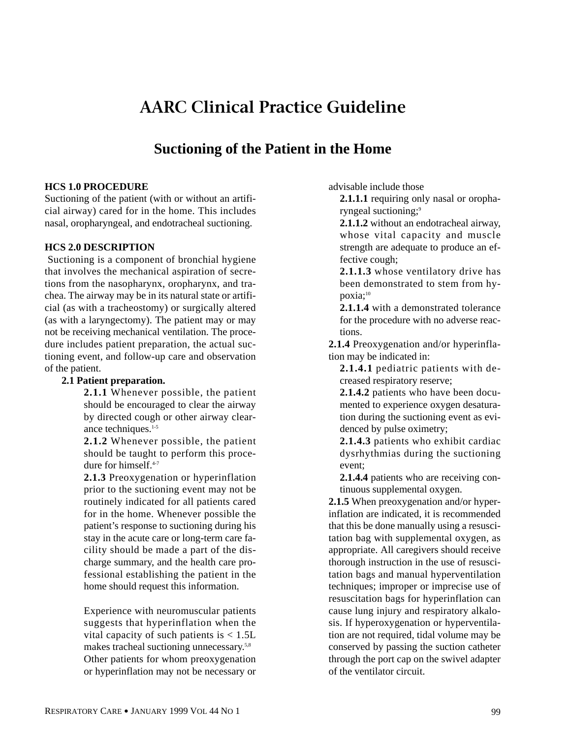# **AARC Clinical Practice Guideline**

# **Suctioning of the Patient in the Home**

### **HCS 1.0 PROCEDURE**

Suctioning of the patient (with or without an artificial airway) cared for in the home. This includes nasal, oropharyngeal, and endotracheal suctioning.

#### **HCS 2.0 DESCRIPTION**

Suctioning is a component of bronchial hygiene that involves the mechanical aspiration of secretions from the nasopharynx, oropharynx, and trachea. The airway may be in its natural state or artificial (as with a tracheostomy) or surgically altered (as with a laryngectomy). The patient may or may not be receiving mechanical ventilation. The procedure includes patient preparation, the actual suctioning event, and follow-up care and observation of the patient.

#### **2.1 Patient preparation.**

**2.1.1** Whenever possible, the patient should be encouraged to clear the airway by directed cough or other airway clearance techniques.<sup>1-5</sup>

**2.1.2** Whenever possible, the patient should be taught to perform this procedure for himself.<sup>4-7</sup>

**2.1.3** Preoxygenation or hyperinflation prior to the suctioning event may not be routinely indicated for all patients cared for in the home. Whenever possible the patient's response to suctioning during his stay in the acute care or long-term care facility should be made a part of the discharge summary, and the health care professional establishing the patient in the home should request this information.

Experience with neuromuscular patients suggests that hyperinflation when the vital capacity of such patients is  $< 1.5L$ makes tracheal suctioning unnecessary.5,8 Other patients for whom preoxygenation or hyperinflation may not be necessary or advisable include those

**2.1.1.1** requiring only nasal or oropharyngeal suctioning;<sup>9</sup>

**2.1.1.2** without an endotracheal airway, whose vital capacity and muscle strength are adequate to produce an effective cough;

**2.1.1.3** whose ventilatory drive has been demonstrated to stem from hypoxia:<sup>10</sup>

**2.1.1.4** with a demonstrated tolerance for the procedure with no adverse reactions.

**2.1.4** Preoxygenation and/or hyperinflation may be indicated in:

**2.1.4.1** pediatric patients with decreased respiratory reserve;

**2.1.4.2** patients who have been documented to experience oxygen desaturation during the suctioning event as evidenced by pulse oximetry;

**2.1.4.3** patients who exhibit cardiac dysrhythmias during the suctioning event;

**2.1.4.4** patients who are receiving continuous supplemental oxygen.

**2.1.5** When preoxygenation and/or hyperinflation are indicated, it is recommended that this be done manually using a resuscitation bag with supplemental oxygen, as appropriate. All caregivers should receive thorough instruction in the use of resuscitation bags and manual hyperventilation techniques; improper or imprecise use of resuscitation bags for hyperinflation can cause lung injury and respiratory alkalosis. If hyperoxygenation or hyperventilation are not required, tidal volume may be conserved by passing the suction catheter through the port cap on the swivel adapter of the ventilator circuit.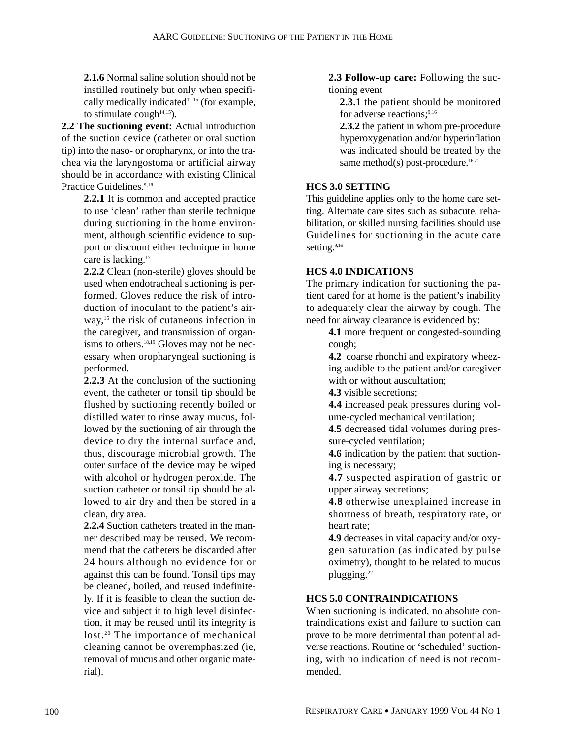**2.1.6** Normal saline solution should not be instilled routinely but only when specifically medically indicated<sup>11-15</sup> (for example, to stimulate cough $14,15$ ).

**2.2 The suctioning event:** Actual introduction of the suction device (catheter or oral suction tip) into the naso- or oropharynx, or into the trachea via the laryngostoma or artificial airway should be in accordance with existing Clinical Practice Guidelines.<sup>9,16</sup>

**2.2.1** It is common and accepted practice to use 'clean' rather than sterile technique during suctioning in the home environment, although scientific evidence to support or discount either technique in home care is lacking.<sup>17</sup>

**2.2.2** Clean (non-sterile) gloves should be used when endotracheal suctioning is performed. Gloves reduce the risk of introduction of inoculant to the patient's airway,<sup>15</sup> the risk of cutaneous infection in the caregiver, and transmission of organisms to others.<sup>18,19</sup> Gloves may not be necessary when oropharyngeal suctioning is performed.

**2.2.3** At the conclusion of the suctioning event, the catheter or tonsil tip should be flushed by suctioning recently boiled or distilled water to rinse away mucus, followed by the suctioning of air through the device to dry the internal surface and, thus, discourage microbial growth. The outer surface of the device may be wiped with alcohol or hydrogen peroxide. The suction catheter or tonsil tip should be allowed to air dry and then be stored in a clean, dry area.

**2.2.4** Suction catheters treated in the manner described may be reused. We recommend that the catheters be discarded after 24 hours although no evidence for or against this can be found. Tonsil tips may be cleaned, boiled, and reused indefinitely. If it is feasible to clean the suction device and subject it to high level disinfection, it may be reused until its integrity is lost.<sup>20</sup> The importance of mechanical cleaning cannot be overemphasized (ie, removal of mucus and other organic material).

**2.3 Follow-up care:** Following the suctioning event

**2.3.1** the patient should be monitored for adverse reactions;<sup>9,16</sup>

**2.3.2** the patient in whom pre-procedure hyperoxygenation and/or hyperinflation was indicated should be treated by the same method(s) post-procedure. $16,21$ 

# **HCS 3.0 SETTING**

This guideline applies only to the home care setting. Alternate care sites such as subacute, rehabilitation, or skilled nursing facilities should use Guidelines for suctioning in the acute care setting.<sup>9,16</sup>

# **HCS 4.0 INDICATIONS**

The primary indication for suctioning the patient cared for at home is the patient's inability to adequately clear the airway by cough. The need for airway clearance is evidenced by:

**4.1** more frequent or congested-sounding cough;

**4.2** coarse rhonchi and expiratory wheezing audible to the patient and/or caregiver with or without auscultation;

**4.3** visible secretions;

**4.4** increased peak pressures during volume-cycled mechanical ventilation;

**4.5** decreased tidal volumes during pressure-cycled ventilation;

**4.6** indication by the patient that suctioning is necessary;

**4.7** suspected aspiration of gastric or upper airway secretions;

**4.8** otherwise unexplained increase in shortness of breath, respiratory rate, or heart rate;

**4.9** decreases in vital capacity and/or oxygen saturation (as indicated by pulse oximetry), thought to be related to mucus plugging.22

# **HCS 5.0 CONTRAINDICATIONS**

When suctioning is indicated, no absolute contraindications exist and failure to suction can prove to be more detrimental than potential adverse reactions. Routine or 'scheduled' suctioning, with no indication of need is not recommended.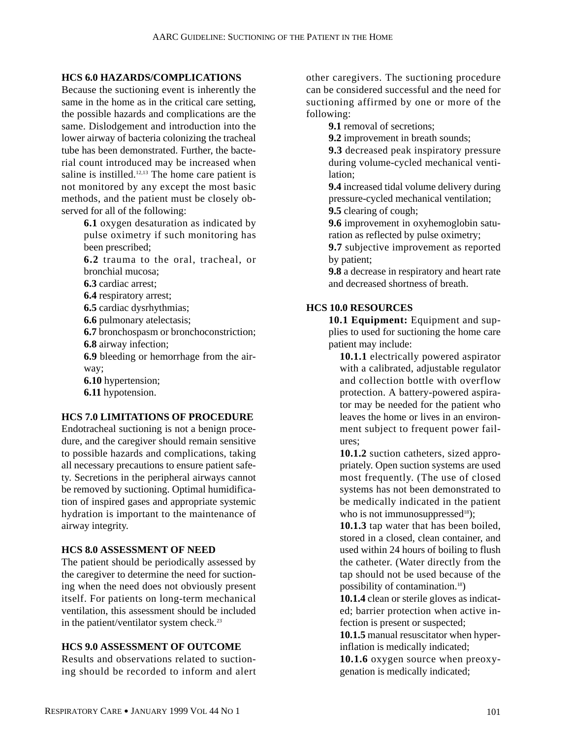#### **HCS 6.0 HAZARDS/COMPLICATIONS**

Because the suctioning event is inherently the same in the home as in the critical care setting, the possible hazards and complications are the same. Dislodgement and introduction into the lower airway of bacteria colonizing the tracheal tube has been demonstrated. Further, the bacterial count introduced may be increased when saline is instilled. $12,13$  The home care patient is not monitored by any except the most basic methods, and the patient must be closely observed for all of the following:

- **6.1** oxygen desaturation as indicated by pulse oximetry if such monitoring has been prescribed;
- **6.2** trauma to the oral, tracheal, or bronchial mucosa;
- **6.3** cardiac arrest;
- **6.4** respiratory arrest;
- **6.5** cardiac dysrhythmias;
- **6.6** pulmonary atelectasis;
- **6.7** bronchospasm or bronchoconstriction;
- **6.8** airway infection;
- **6.9** bleeding or hemorrhage from the airway;
- **6.10** hypertension;
- **6.11** hypotension.

#### **HCS 7.0 LIMITATIONS OF PROCEDURE**

Endotracheal suctioning is not a benign procedure, and the caregiver should remain sensitive to possible hazards and complications, taking all necessary precautions to ensure patient safety. Secretions in the peripheral airways cannot be removed by suctioning. Optimal humidification of inspired gases and appropriate systemic hydration is important to the maintenance of airway integrity.

#### **HCS 8.0 ASSESSMENT OF NEED**

The patient should be periodically assessed by the caregiver to determine the need for suctioning when the need does not obviously present itself. For patients on long-term mechanical ventilation, this assessment should be included in the patient/ventilator system check.<sup>23</sup>

#### **HCS 9.0 ASSESSMENT OF OUTCOME**

Results and observations related to suctioning should be recorded to inform and alert other caregivers. The suctioning procedure can be considered successful and the need for suctioning affirmed by one or more of the following:

**9.1** removal of secretions:

**9.2** improvement in breath sounds;

**9.3** decreased peak inspiratory pressure during volume-cycled mechanical ventilation;

**9.4** increased tidal volume delivery during pressure-cycled mechanical ventilation; **9.5** clearing of cough;

**9.6** improvement in oxyhemoglobin saturation as reflected by pulse oximetry;

**9.7** subjective improvement as reported by patient;

**9.8** a decrease in respiratory and heart rate and decreased shortness of breath.

## **HCS 10.0 RESOURCES**

**10.1 Equipment:** Equipment and supplies to used for suctioning the home care patient may include:

**10.1.1** electrically powered aspirator with a calibrated, adjustable regulator and collection bottle with overflow protection. A battery-powered aspirator may be needed for the patient who leaves the home or lives in an environment subject to frequent power failures;

**10.1.2** suction catheters, sized appropriately. Open suction systems are used most frequently. (The use of closed systems has not been demonstrated to be medically indicated in the patient who is not immunosuppressed $18$ );

**10.1.3** tap water that has been boiled, stored in a closed, clean container, and used within 24 hours of boiling to flush the catheter. (Water directly from the tap should not be used because of the possibility of contamination.18)

**10.1.4** clean or sterile gloves as indicated; barrier protection when active infection is present or suspected;

**10.1.5** manual resuscitator when hyperinflation is medically indicated;

**10.1.6** oxygen source when preoxygenation is medically indicated;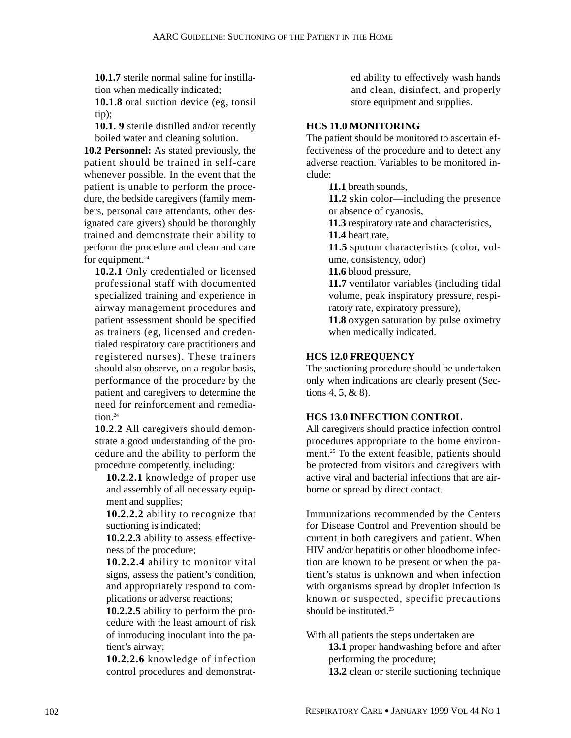**10.1.7** sterile normal saline for instillation when medically indicated;

**10.1.8** oral suction device (eg, tonsil tip);

**10.1. 9** sterile distilled and/or recently boiled water and cleaning solution.

**10.2 Personnel:** As stated previously, the patient should be trained in self-care whenever possible. In the event that the patient is unable to perform the procedure, the bedside caregivers (family members, personal care attendants, other designated care givers) should be thoroughly trained and demonstrate their ability to perform the procedure and clean and care for equipment. $24$ 

**10.2.1** Only credentialed or licensed professional staff with documented specialized training and experience in airway management procedures and patient assessment should be specified as trainers (eg, licensed and credentialed respiratory care practitioners and registered nurses). These trainers should also observe, on a regular basis, performance of the procedure by the patient and caregivers to determine the need for reinforcement and remediation $24$ 

**10.2.2** All caregivers should demonstrate a good understanding of the procedure and the ability to perform the procedure competently, including:

**10.2.2.1** knowledge of proper use and assembly of all necessary equipment and supplies;

**10.2.2.2** ability to recognize that suctioning is indicated;

**10.2.2.3** ability to assess effectiveness of the procedure;

**10.2.2.4** ability to monitor vital signs, assess the patient's condition, and appropriately respond to complications or adverse reactions;

**10.2.2.5** ability to perform the procedure with the least amount of risk of introducing inoculant into the patient's airway;

**10.2.2.6** knowledge of infection control procedures and demonstrated ability to effectively wash hands and clean, disinfect, and properly store equipment and supplies.

# **HCS 11.0 MONITORING**

The patient should be monitored to ascertain effectiveness of the procedure and to detect any adverse reaction. Variables to be monitored include:

**11.1** breath sounds,

**11.2** skin color—including the presence or absence of cyanosis,

**11.3** respiratory rate and characteristics, **11.4** heart rate,

**11.5** sputum characteristics (color, volume, consistency, odor)

**11.6** blood pressure,

**11.7** ventilator variables (including tidal volume, peak inspiratory pressure, respiratory rate, expiratory pressure),

**11.8** oxygen saturation by pulse oximetry when medically indicated.

# **HCS 12.0 FREQUENCY**

The suctioning procedure should be undertaken only when indications are clearly present (Sections 4, 5, & 8).

# **HCS 13.0 INFECTION CONTROL**

All caregivers should practice infection control procedures appropriate to the home environment.25 To the extent feasible, patients should be protected from visitors and caregivers with active viral and bacterial infections that are airborne or spread by direct contact.

Immunizations recommended by the Centers for Disease Control and Prevention should be current in both caregivers and patient. When HIV and/or hepatitis or other bloodborne infection are known to be present or when the patient's status is unknown and when infection with organisms spread by droplet infection is known or suspected, specific precautions should be instituted.<sup>25</sup>

With all patients the steps undertaken are

**13.1** proper handwashing before and after performing the procedure;

**13.2** clean or sterile suctioning technique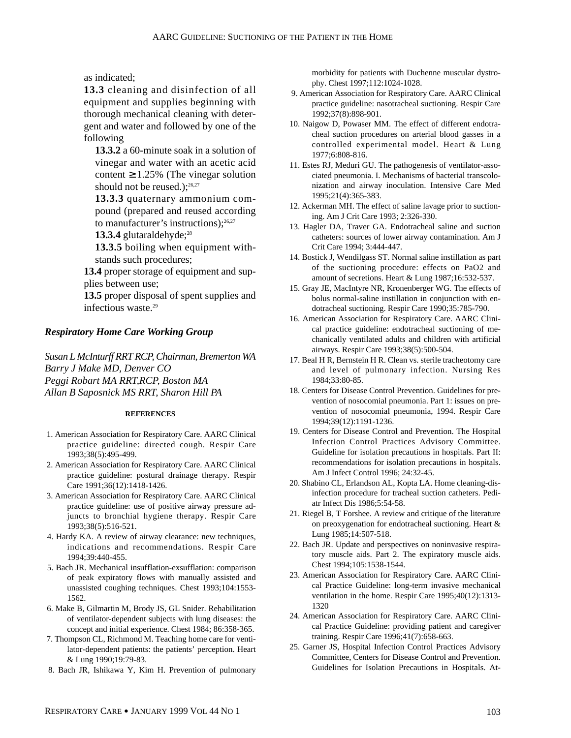as indicated;

**13.3** cleaning and disinfection of all equipment and supplies beginning with thorough mechanical cleaning with detergent and water and followed by one of the following

**13.3.2** a 60-minute soak in a solution of vinegar and water with an acetic acid content  $\geq 1.25\%$  (The vinegar solution should not be reused.);<sup>26,27</sup>

**13.3.3** quaternary ammonium compound (prepared and reused according to manufacturer's instructions); $26,27$ 

13.3.4 glutaraldehyde;<sup>28</sup>

**13.3.5** boiling when equipment withstands such procedures;

**13.4** proper storage of equipment and supplies between use;

**13.5** proper disposal of spent supplies and infectious waste.29

#### *Respiratory Home Care Working Group*

*Susan L McInturff RRT RCP, Chairman, Bremerton WA Barry J Make MD, Denver CO Peggi Robart MA RRT,RCP, Boston MA Allan B Saposnick MS RRT, Sharon Hill PA* 

#### **REFERENCES**

- 1. American Association for Respiratory Care. AARC Clinical practice guideline: directed cough. Respir Care 1993;38(5):495-499.
- 2. American Association for Respiratory Care. AARC Clinical practice guideline: postural drainage therapy. Respir Care 1991;36(12):1418-1426.
- 3. American Association for Respiratory Care. AARC Clinical practice guideline: use of positive airway pressure adjuncts to bronchial hygiene therapy. Respir Care 1993;38(5):516-521.
- 4. Hardy KA. A review of airway clearance: new techniques, indications and recommendations. Respir Care 1994;39:440-455.
- 5. Bach JR. Mechanical insufflation-exsufflation: comparison of peak expiratory flows with manually assisted and unassisted coughing techniques. Chest 1993;104:1553- 1562.
- 6. Make B, Gilmartin M, Brody JS, GL Snider. Rehabilitation of ventilator-dependent subjects with lung diseases: the concept and initial experience. Chest 1984; 86:358-365.
- 7. Thompson CL, Richmond M. Teaching home care for ventilator-dependent patients: the patients' perception. Heart & Lung 1990;19:79-83.
- 8. Bach JR, Ishikawa Y, Kim H. Prevention of pulmonary

morbidity for patients with Duchenne muscular dystrophy. Chest 1997;112:1024-1028.

- 9. American Association for Respiratory Care. AARC Clinical practice guideline: nasotracheal suctioning. Respir Care 1992;37(8):898-901.
- 10. Naigow D, Powaser MM. The effect of different endotracheal suction procedures on arterial blood gasses in a controlled experimental model. Heart & Lung 1977;6:808-816.
- 11. Estes RJ, Meduri GU. The pathogenesis of ventilator-associated pneumonia. I. Mechanisms of bacterial transcolonization and airway inoculation. Intensive Care Med 1995;21(4):365-383.
- 12. Ackerman MH. The effect of saline lavage prior to suctioning. Am J Crit Care 1993; 2:326-330.
- 13. Hagler DA, Traver GA. Endotracheal saline and suction catheters: sources of lower airway contamination. Am J Crit Care 1994; 3:444-447.
- 14. Bostick J, Wendilgass ST. Normal saline instillation as part of the suctioning procedure: effects on PaO2 and amount of secretions. Heart & Lung 1987;16:532-537.
- 15. Gray JE, MacIntyre NR, Kronenberger WG. The effects of bolus normal-saline instillation in conjunction with endotracheal suctioning. Respir Care 1990;35:785-790.
- 16. American Association for Respiratory Care. AARC Clinical practice guideline: endotracheal suctioning of mechanically ventilated adults and children with artificial airways. Respir Care 1993;38(5):500-504.
- 17. Beal H R, Bernstein H R. Clean vs. sterile tracheotomy care and level of pulmonary infection. Nursing Res 1984;33:80-85.
- 18. Centers for Disease Control Prevention. Guidelines for prevention of nosocomial pneumonia. Part 1: issues on prevention of nosocomial pneumonia, 1994. Respir Care 1994;39(12):1191-1236.
- 19. Centers for Disease Control and Prevention. The Hospital Infection Control Practices Advisory Committee. Guideline for isolation precautions in hospitals. Part II: recommendations for isolation precautions in hospitals. Am J Infect Control 1996; 24:32-45.
- 20. Shabino CL, Erlandson AL, Kopta LA. Home cleaning-disinfection procedure for tracheal suction catheters. Pediatr Infect Dis 1986;5:54-58.
- 21. Riegel B, T Forshee. A review and critique of the literature on preoxygenation for endotracheal suctioning. Heart & Lung 1985;14:507-518.
- 22. Bach JR. Update and perspectives on noninvasive respiratory muscle aids. Part 2. The expiratory muscle aids. Chest 1994;105:1538-1544.
- 23. American Association for Respiratory Care. AARC Clinical Practice Guideline: long-term invasive mechanical ventilation in the home. Respir Care 1995;40(12):1313- 1320
- 24. American Association for Respiratory Care. AARC Clinical Practice Guideline: providing patient and caregiver training. Respir Care 1996;41(7):658-663.
- 25. Garner JS, Hospital Infection Control Practices Advisory Committee, Centers for Disease Control and Prevention. Guidelines for Isolation Precautions in Hospitals. At-